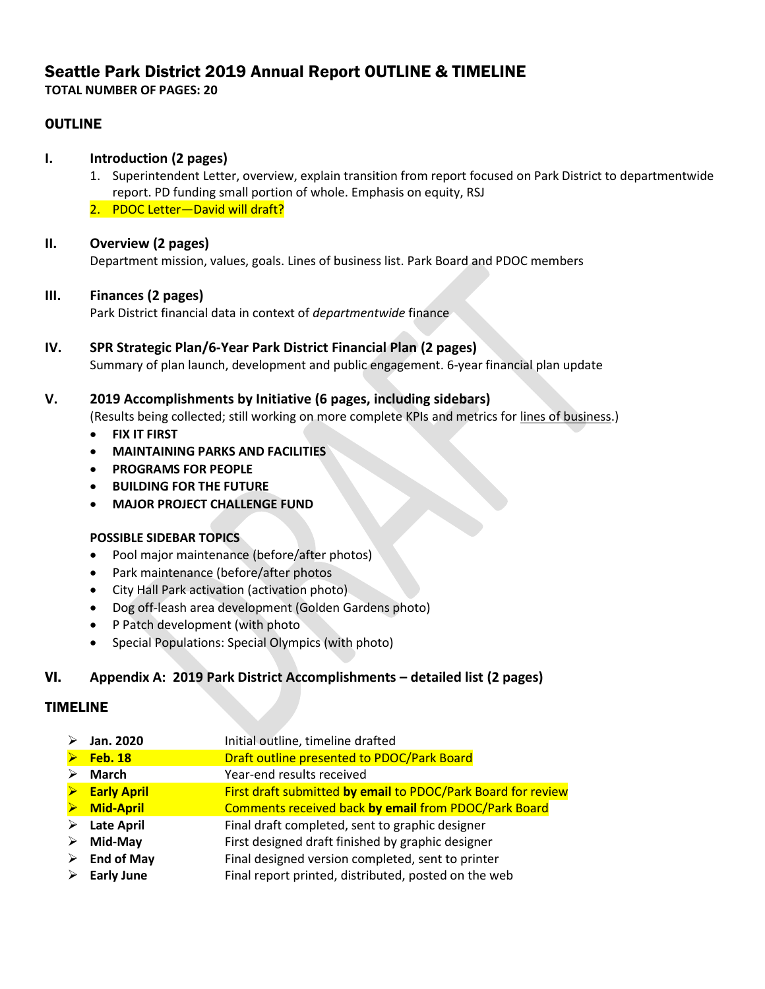# Seattle Park District 2019 Annual Report OUTLINE & TIMELINE

**TOTAL NUMBER OF PAGES: 20**

## OUTLINE

## **I. Introduction (2 pages)**

- 1. Superintendent Letter, overview, explain transition from report focused on Park District to departmentwide report. PD funding small portion of whole. Emphasis on equity, RSJ
- 2. PDOC Letter-David will draft?

## **II. Overview (2 pages)**

Department mission, values, goals. Lines of business list. Park Board and PDOC members

## **III. Finances (2 pages)**

Park District financial data in context of *departmentwide* finance

#### **IV. SPR Strategic Plan/6-Year Park District Financial Plan (2 pages)** Summary of plan launch, development and public engagement. 6-year financial plan update

## **V. 2019 Accomplishments by Initiative (6 pages, including sidebars)**

(Results being collected; still working on more complete KPIs and metrics for lines of business.)

- **FIX IT FIRST**
- **MAINTAINING PARKS AND FACILITIES**
- **PROGRAMS FOR PEOPLE**
- **BUILDING FOR THE FUTURE**
- **MAJOR PROJECT CHALLENGE FUND**

## **POSSIBLE SIDEBAR TOPICS**

- Pool major maintenance (before/after photos)
- Park maintenance (before/after photos
- City Hall Park activation (activation photo)
- Dog off-leash area development (Golden Gardens photo)
- P Patch development (with photo
- Special Populations: Special Olympics (with photo)

## VI. **Appendix A: 2019 Park District Accomplishments – detailed list (2 pages)**

## TIMELINE

| ➤                     | Jan. 2020                    | Initial outline, timeline drafted                            |
|-----------------------|------------------------------|--------------------------------------------------------------|
| $\blacktriangleright$ | <b>Feb. 18</b>               | Draft outline presented to PDOC/Park Board                   |
| ➤                     | March                        | Year-end results received                                    |
|                       | $\triangleright$ Early April | First draft submitted by email to PDOC/Park Board for review |
| $\blacktriangleright$ | <b>Mid-April</b>             | Comments received back by email from PDOC/Park Board         |
|                       | $\triangleright$ Late April  | Final draft completed, sent to graphic designer              |
| ➤                     | Mid-May                      | First designed draft finished by graphic designer            |
| ➤                     | <b>End of May</b>            | Final designed version completed, sent to printer            |
| $\blacktriangleright$ | <b>Early June</b>            | Final report printed, distributed, posted on the web         |